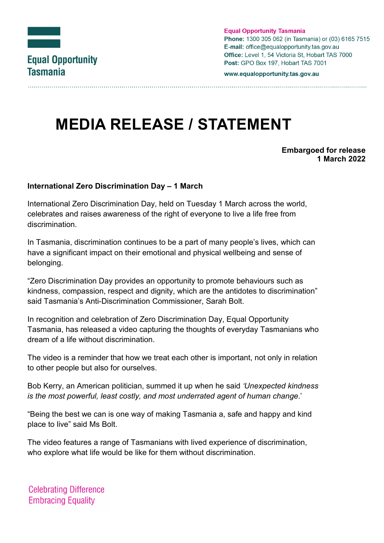

**Equal Opportunity Tasmania** Phone: 1300 305 062 (in Tasmania) or (03) 6165 7515 E-mail: office@equalopportunity.tas.gov.au Office: Level 1, 54 Victoria St. Hobart TAS 7000 Post: GPO Box 197, Hobart TAS 7001

www.equalopportunity.tas.gov.au

## **MEDIA RELEASE / STATEMENT**

**Embargoed for release 1 March 2022**

## **International Zero Discrimination Day – 1 March**

International Zero Discrimination Day, held on Tuesday 1 March across the world, celebrates and raises awareness of the right of everyone to live a life free from discrimination.

In Tasmania, discrimination continues to be a part of many people's lives, which can have a significant impact on their emotional and physical wellbeing and sense of belonging.

"Zero Discrimination Day provides an opportunity to promote behaviours such as kindness, compassion, respect and dignity, which are the antidotes to discrimination" said Tasmania's Anti-Discrimination Commissioner, Sarah Bolt.

In recognition and celebration of Zero Discrimination Day, Equal Opportunity Tasmania, has released a video capturing the thoughts of everyday Tasmanians who dream of a life without discrimination.

The video is a reminder that how we treat each other is important, not only in relation to other people but also for ourselves.

Bob Kerry, an American politician, summed it up when he said *'Unexpected kindness is the most powerful, least costly, and most underrated agent of human change*.'

"Being the best we can is one way of making Tasmania a, safe and happy and kind place to live" said Ms Bolt.

The video features a range of Tasmanians with lived experience of discrimination, who explore what life would be like for them without discrimination.

**Celebrating Difference Embracing Equality**